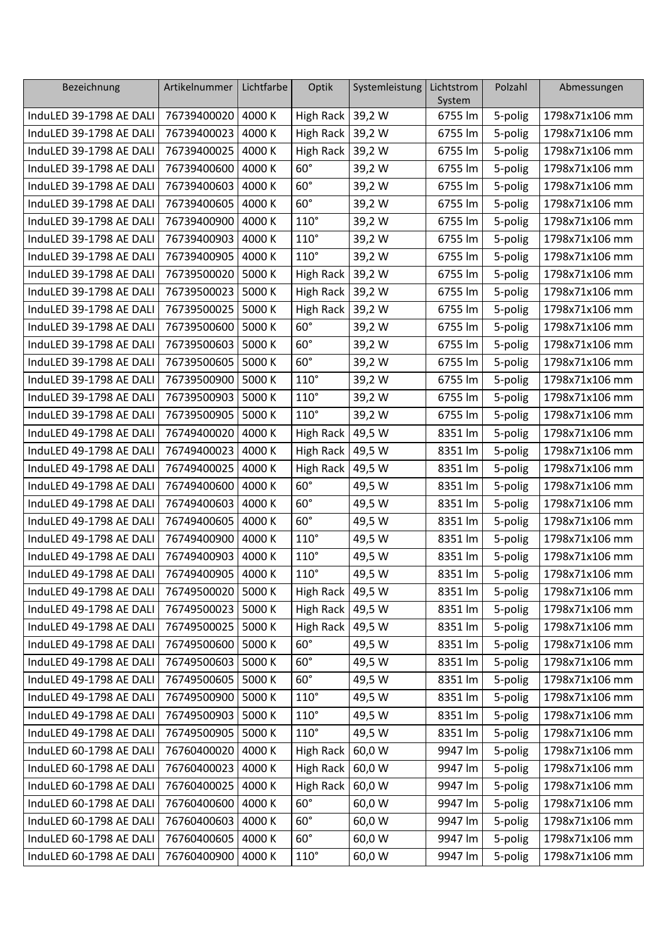| Bezeichnung             | Artikelnummer        | Lichtfarbe | Optik              | Systemleistung | Lichtstrom<br>System | Polzahl | Abmessungen    |
|-------------------------|----------------------|------------|--------------------|----------------|----------------------|---------|----------------|
| InduLED 39-1798 AE DALI | 76739400020          | 4000 K     | High Rack          | 39,2 W         | 6755 lm              | 5-polig | 1798x71x106 mm |
| InduLED 39-1798 AE DALI | 76739400023          | 4000 K     | High Rack          | 39,2 W         | 6755 lm              | 5-polig | 1798x71x106 mm |
| InduLED 39-1798 AE DALI | 76739400025          | 4000 K     | <b>High Rack</b>   | 39,2 W         | 6755 lm              | 5-polig | 1798x71x106 mm |
| InduLED 39-1798 AE DALI | 76739400600          | 4000 K     | $60^\circ$         | 39,2 W         | 6755 lm              | 5-polig | 1798x71x106 mm |
| InduLED 39-1798 AE DALI | 76739400603          | 4000 K     | $60^\circ$         | 39,2 W         | 6755 lm              | 5-polig | 1798x71x106 mm |
| InduLED 39-1798 AE DALI | 76739400605          | 4000 K     | $60^\circ$         | 39,2 W         | 6755 lm              | 5-polig | 1798x71x106 mm |
| InduLED 39-1798 AE DALI | 76739400900          | 4000 K     | $110^\circ$        | 39,2 W         | 6755 lm              | 5-polig | 1798x71x106 mm |
| InduLED 39-1798 AE DALI | 76739400903          | 4000 K     | $110^\circ$        | 39,2 W         | 6755 lm              | 5-polig | 1798x71x106 mm |
| InduLED 39-1798 AE DALI | 76739400905          | 4000 K     | $110^\circ$        | 39,2 W         | 6755 lm              | 5-polig | 1798x71x106 mm |
| InduLED 39-1798 AE DALI | 76739500020          | 5000 K     | High Rack          | 39,2 W         | 6755 lm              | 5-polig | 1798x71x106 mm |
| InduLED 39-1798 AE DALI | 76739500023          | 5000 K     | <b>High Rack</b>   | 39,2 W         | 6755 lm              | 5-polig | 1798x71x106 mm |
| InduLED 39-1798 AE DALI | 76739500025          | 5000 K     | High Rack          | 39,2 W         | 6755 lm              | 5-polig | 1798x71x106 mm |
| InduLED 39-1798 AE DALI | 76739500600          | 5000 K     | $60^\circ$         | 39,2 W         | 6755 lm              | 5-polig | 1798x71x106 mm |
| InduLED 39-1798 AE DALI | 76739500603          | 5000 K     | $60^\circ$         | 39,2 W         | 6755 lm              | 5-polig | 1798x71x106 mm |
| InduLED 39-1798 AE DALI | 76739500605          | 5000 K     | $60^\circ$         | 39,2 W         | 6755 lm              | 5-polig | 1798x71x106 mm |
| InduLED 39-1798 AE DALI | 76739500900          | 5000 K     | $110^\circ$        | 39,2 W         | 6755 lm              | 5-polig | 1798x71x106 mm |
| InduLED 39-1798 AE DALI | 76739500903   5000 K |            | $110^\circ$        | 39,2 W         | 6755 lm              | 5-polig | 1798x71x106 mm |
| InduLED 39-1798 AE DALI | 76739500905          | 5000 K     | $110^\circ$        | 39,2 W         | 6755 lm              | 5-polig | 1798x71x106 mm |
| InduLED 49-1798 AE DALI | 76749400020          | 4000 K     | <b>High Rack</b>   | 49,5 W         | 8351 lm              | 5-polig | 1798x71x106 mm |
| InduLED 49-1798 AE DALI | 76749400023          | 4000 K     | High Rack          | 49,5 W         | 8351 lm              | 5-polig | 1798x71x106 mm |
| InduLED 49-1798 AE DALI | 76749400025          | 4000 K     | High Rack          | 49,5 W         | 8351 lm              | 5-polig | 1798x71x106 mm |
| InduLED 49-1798 AE DALI | 76749400600          | 4000 K     | $60^\circ$         | 49,5 W         | 8351 lm              | 5-polig | 1798x71x106 mm |
| InduLED 49-1798 AE DALI | 76749400603          | 4000 K     | $60^\circ$         | 49,5 W         | 8351 lm              | 5-polig | 1798x71x106 mm |
| InduLED 49-1798 AE DALI | 76749400605          | 4000 K     | $60^\circ$         | 49,5 W         | 8351 lm              | 5-polig | 1798x71x106 mm |
| InduLED 49-1798 AE DALI | 76749400900          | 4000 K     | $110^\circ$        | 49,5 W         | 8351 lm              | 5-polig | 1798x71x106 mm |
| InduLED 49-1798 AE DALI | 76749400903          | 4000 K     | $110^\circ$        | 49,5 W         | 8351 lm              | 5-polig | 1798x71x106 mm |
| InduLED 49-1798 AE DALI | 76749400905          | 4000 K     | $110^\circ$        | 49,5 W         | 8351 lm              | 5-polig | 1798x71x106 mm |
| InduLED 49-1798 AE DALI | 76749500020   5000 K |            | High Rack   49,5 W |                | 8351 lm              | 5-polig | 1798x71x106 mm |
| InduLED 49-1798 AE DALI | 76749500023 5000 K   |            | High Rack          | 49,5 W         | 8351 lm              | 5-polig | 1798x71x106 mm |
| InduLED 49-1798 AE DALI | 76749500025   5000 K |            | High Rack          | 49,5 W         | 8351 lm              | 5-polig | 1798x71x106 mm |
| InduLED 49-1798 AE DALI | 76749500600   5000 K |            | $60^\circ$         | 49,5 W         | 8351 lm              | 5-polig | 1798x71x106 mm |
| InduLED 49-1798 AE DALI | 76749500603 5000 K   |            | $60^\circ$         | 49,5 W         | 8351 lm              | 5-polig | 1798x71x106 mm |
| InduLED 49-1798 AE DALI | 76749500605   5000 K |            | $60^\circ$         | 49,5 W         | 8351 lm              | 5-polig | 1798x71x106 mm |
| InduLED 49-1798 AE DALI | 76749500900 5000 K   |            | $110^\circ$        | 49,5 W         | 8351 lm              | 5-polig | 1798x71x106 mm |
| InduLED 49-1798 AE DALI | 76749500903 5000 K   |            | $110^\circ$        | 49,5 W         | 8351 lm              | 5-polig | 1798x71x106 mm |
| InduLED 49-1798 AE DALI | 76749500905   5000 K |            | $110^\circ$        | 49,5 W         | 8351 lm              | 5-polig | 1798x71x106 mm |
| InduLED 60-1798 AE DALI | 76760400020          | 4000 K     | High Rack          | 60,0 W         | 9947 lm              | 5-polig | 1798x71x106 mm |
| InduLED 60-1798 AE DALI | 76760400023          | 4000 K     | <b>High Rack</b>   | 60,0 W         | 9947 lm              | 5-polig | 1798x71x106 mm |
| InduLED 60-1798 AE DALI | 76760400025          | 4000 K     | High Rack          | 60,0 W         | 9947 lm              | 5-polig | 1798x71x106 mm |
| InduLED 60-1798 AE DALI | 76760400600          | 4000 K     | $60^\circ$         | 60,0 W         | 9947 lm              | 5-polig | 1798x71x106 mm |
| InduLED 60-1798 AE DALI | 76760400603          | 4000 K     | $60^\circ$         | 60,0 W         | 9947 lm              | 5-polig | 1798x71x106 mm |
| InduLED 60-1798 AE DALI | 76760400605          | 4000 K     | $60^\circ$         | 60,0 W         | 9947 lm              | 5-polig | 1798x71x106 mm |
| InduLED 60-1798 AE DALI | 76760400900          | 4000 K     | $110^\circ$        | 60,0 W         | 9947 lm              | 5-polig | 1798x71x106 mm |